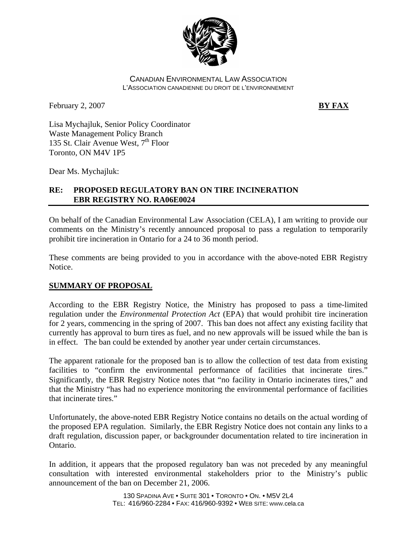

#### CANADIAN ENVIRONMENTAL LAW ASSOCIATION L'ASSOCIATION CANADIENNE DU DROIT DE L'ENVIRONNEMENT

February 2, 2007 **BY FAX** 

Lisa Mychajluk, Senior Policy Coordinator Waste Management Policy Branch 135 St. Clair Avenue West,  $7<sup>th</sup>$  Floor Toronto, ON M4V 1P5

Dear Ms. Mychajluk:

# **RE: PROPOSED REGULATORY BAN ON TIRE INCINERATION EBR REGISTRY NO. RA06E0024**

On behalf of the Canadian Environmental Law Association (CELA), I am writing to provide our comments on the Ministry's recently announced proposal to pass a regulation to temporarily prohibit tire incineration in Ontario for a 24 to 36 month period.

These comments are being provided to you in accordance with the above-noted EBR Registry Notice.

# **SUMMARY OF PROPOSAL**

According to the EBR Registry Notice, the Ministry has proposed to pass a time-limited regulation under the *Environmental Protection Act* (EPA) that would prohibit tire incineration for 2 years, commencing in the spring of 2007. This ban does not affect any existing facility that currently has approval to burn tires as fuel, and no new approvals will be issued while the ban is in effect. The ban could be extended by another year under certain circumstances.

The apparent rationale for the proposed ban is to allow the collection of test data from existing facilities to "confirm the environmental performance of facilities that incinerate tires." Significantly, the EBR Registry Notice notes that "no facility in Ontario incinerates tires," and that the Ministry "has had no experience monitoring the environmental performance of facilities that incinerate tires."

Unfortunately, the above-noted EBR Registry Notice contains no details on the actual wording of the proposed EPA regulation. Similarly, the EBR Registry Notice does not contain any links to a draft regulation, discussion paper, or backgrounder documentation related to tire incineration in Ontario.

In addition, it appears that the proposed regulatory ban was not preceded by any meaningful consultation with interested environmental stakeholders prior to the Ministry's public announcement of the ban on December 21, 2006.

> 130 SPADINA AVE • SUITE 301 • TORONTO • ON. • M5V 2L4 TEL: 416/960-2284 • FAX: 416/960-9392 • WEB SITE: WWW.cela.ca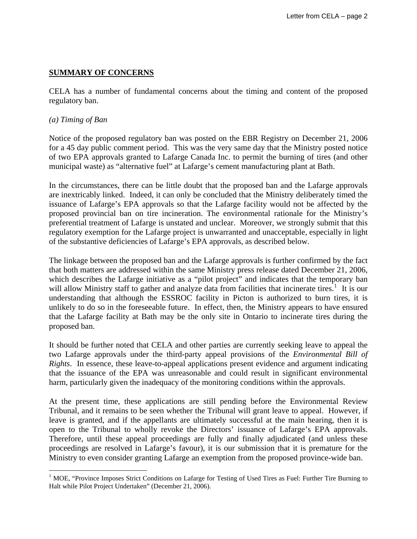## **SUMMARY OF CONCERNS**

CELA has a number of fundamental concerns about the timing and content of the proposed regulatory ban.

#### *(a) Timing of Ban*

 $\overline{a}$ 

Notice of the proposed regulatory ban was posted on the EBR Registry on December 21, 2006 for a 45 day public comment period. This was the very same day that the Ministry posted notice of two EPA approvals granted to Lafarge Canada Inc. to permit the burning of tires (and other municipal waste) as "alternative fuel" at Lafarge's cement manufacturing plant at Bath.

In the circumstances, there can be little doubt that the proposed ban and the Lafarge approvals are inextricably linked. Indeed, it can only be concluded that the Ministry deliberately timed the issuance of Lafarge's EPA approvals so that the Lafarge facility would not be affected by the proposed provincial ban on tire incineration. The environmental rationale for the Ministry's preferential treatment of Lafarge is unstated and unclear. Moreover, we strongly submit that this regulatory exemption for the Lafarge project is unwarranted and unacceptable, especially in light of the substantive deficiencies of Lafarge's EPA approvals, as described below.

The linkage between the proposed ban and the Lafarge approvals is further confirmed by the fact that both matters are addressed within the same Ministry press release dated December 21, 2006, which describes the Lafarge initiative as a "pilot project" and indicates that the temporary ban will allow Ministry staff to gather and analyze data from facilities that incinerate tires.<sup>[1](#page-1-0)</sup> It is our understanding that although the ESSROC facility in Picton is authorized to burn tires, it is unlikely to do so in the foreseeable future. In effect, then, the Ministry appears to have ensured that the Lafarge facility at Bath may be the only site in Ontario to incinerate tires during the proposed ban.

It should be further noted that CELA and other parties are currently seeking leave to appeal the two Lafarge approvals under the third-party appeal provisions of the *Environmental Bill of Rights*. In essence, these leave-to-appeal applications present evidence and argument indicating that the issuance of the EPA was unreasonable and could result in significant environmental harm, particularly given the inadequacy of the monitoring conditions within the approvals.

At the present time, these applications are still pending before the Environmental Review Tribunal, and it remains to be seen whether the Tribunal will grant leave to appeal. However, if leave is granted, and if the appellants are ultimately successful at the main hearing, then it is open to the Tribunal to wholly revoke the Directors' issuance of Lafarge's EPA approvals. Therefore, until these appeal proceedings are fully and finally adjudicated (and unless these proceedings are resolved in Lafarge's favour), it is our submission that it is premature for the Ministry to even consider granting Lafarge an exemption from the proposed province-wide ban.

<span id="page-1-0"></span><sup>&</sup>lt;sup>1</sup> MOE, "Province Imposes Strict Conditions on Lafarge for Testing of Used Tires as Fuel: Further Tire Burning to Halt while Pilot Project Undertaken" (December 21, 2006).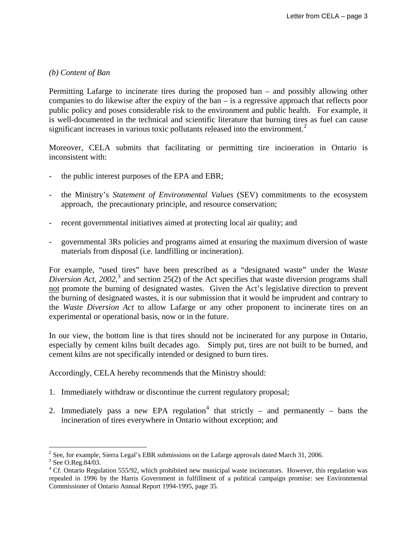## *(b) Content of Ban*

Permitting Lafarge to incinerate tires during the proposed ban – and possibly allowing other companies to do likewise after the expiry of the ban – is a regressive approach that reflects poor public policy and poses considerable risk to the environment and public health. For example, it is well-documented in the technical and scientific literature that burning tires as fuel can cause significant increases in various toxic pollutants released into the environment.<sup>[2](#page-2-0)</sup>

Moreover, CELA submits that facilitating or permitting tire incineration in Ontario is inconsistent with:

- the public interest purposes of the EPA and EBR;
- the Ministry's *Statement of Environmental Values* (SEV) commitments to the ecosystem approach, the precautionary principle, and resource conservation;
- recent governmental initiatives aimed at protecting local air quality; and
- governmental 3Rs policies and programs aimed at ensuring the maximum diversion of waste materials from disposal (i.e. landfilling or incineration).

For example, "used tires" have been prescribed as a "designated waste" under the *Waste*  Diversion Act, 2002,<sup>[3](#page-2-1)</sup> and section 25(2) of the Act specifies that waste diversion programs shall not promote the burning of designated wastes. Given the Act's legislative direction to prevent the burning of designated wastes, it is our submission that it would be imprudent and contrary to the *Waste Diversion Act* to allow Lafarge or any other proponent to incinerate tires on an experimental or operational basis, now or in the future.

In our view, the bottom line is that tires should not be incinerated for any purpose in Ontario, especially by cement kilns built decades ago. Simply put, tires are not built to be burned, and cement kilns are not specifically intended or designed to burn tires.

Accordingly, CELA hereby recommends that the Ministry should:

- 1. Immediately withdraw or discontinue the current regulatory proposal;
- 2. Immediately pass a new EPA regulation<sup>[4](#page-2-2)</sup> that strictly and permanently bans the incineration of tires everywhere in Ontario without exception; and

 $\overline{a}$ 

<span id="page-2-0"></span><sup>&</sup>lt;sup>2</sup> See, for example, Sierra Legal's EBR submissions on the Lafarge approvals dated March 31, 2006.

<sup>&</sup>lt;sup>3</sup> See O.Reg.84/03.

<span id="page-2-2"></span><span id="page-2-1"></span><sup>&</sup>lt;sup>4</sup> Cf. Ontario Regulation 555/92, which prohibited new municipal waste incinerators. However, this regulation was repealed in 1996 by the Harris Government in fulfillment of a political campaign promise: see Environmental Commissioner of Ontario Annual Report 1994-1995, page 35.